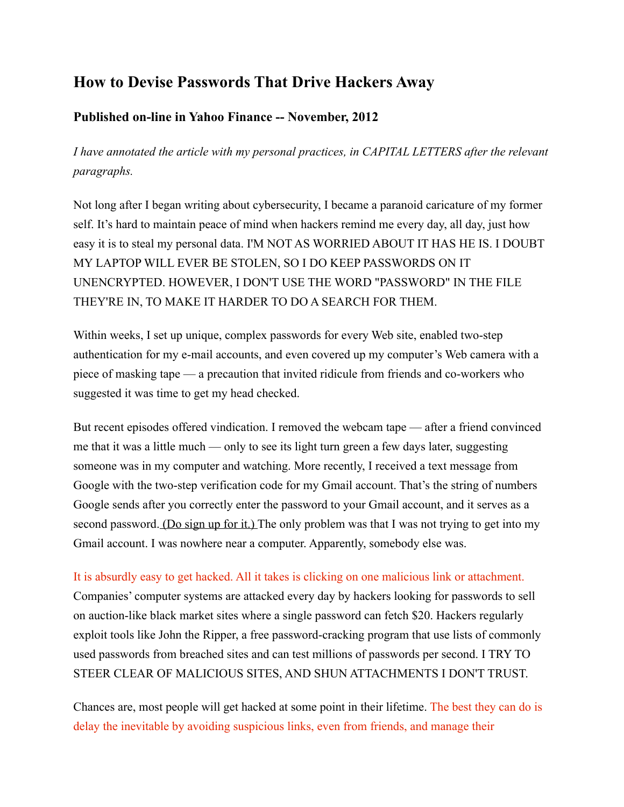## **How to Devise Passwords That Drive Hackers Away**

## **Published on-line in Yahoo Finance -- November, 2012**

*I have annotated the article with my personal practices, in CAPITAL LETTERS after the relevant paragraphs.*

Not long after I began writing about cybersecurity, I became a paranoid caricature of my former self. It's hard to maintain peace of mind when hackers remind me every day, all day, just how easy it is to steal my personal data. I'M NOT AS WORRIED ABOUT IT HAS HE IS. I DOUBT MY LAPTOP WILL EVER BE STOLEN, SO I DO KEEP PASSWORDS ON IT UNENCRYPTED. HOWEVER, I DON'T USE THE WORD "PASSWORD" IN THE FILE THEY'RE IN, TO MAKE IT HARDER TO DO A SEARCH FOR THEM.

Within weeks, I set up unique, complex passwords for every Web site, enabled two-step authentication for my e-mail accounts, and even covered up my computer's Web camera with a piece of masking tape — a precaution that invited ridicule from friends and co-workers who suggested it was time to get my head checked.

But recent episodes offered vindication. I removed the webcam tape — after a friend convinced me that it was a little much — only to see its light turn green a few days later, suggesting someone was in my computer and watching. More recently, I received a text message from Google with the two-step verification code for my Gmail account. That's the string of numbers Google sends after you correctly enter the password to your Gmail account, and it serves as a second password. [\(Do sign up for it.\) T](http://support.google.com/accounts/bin/answer.py?hl=en&answer=180744)he only problem was that I was not trying to get into my Gmail account. I was nowhere near a computer. Apparently, somebody else was.

## It is absurdly easy to get hacked. All it takes is clicking on one malicious link or attachment.

Companies' computer systems are attacked every day by hackers looking for passwords to sell on auction-like black market sites where a single password can fetch \$20. Hackers regularly exploit tools like John the Ripper, a free password-cracking program that use lists of commonly used passwords from breached sites and can test millions of passwords per second. I TRY TO STEER CLEAR OF MALICIOUS SITES, AND SHUN ATTACHMENTS I DON'T TRUST.

Chances are, most people will get hacked at some point in their lifetime. The best they can do is delay the inevitable by avoiding suspicious links, even from friends, and manage their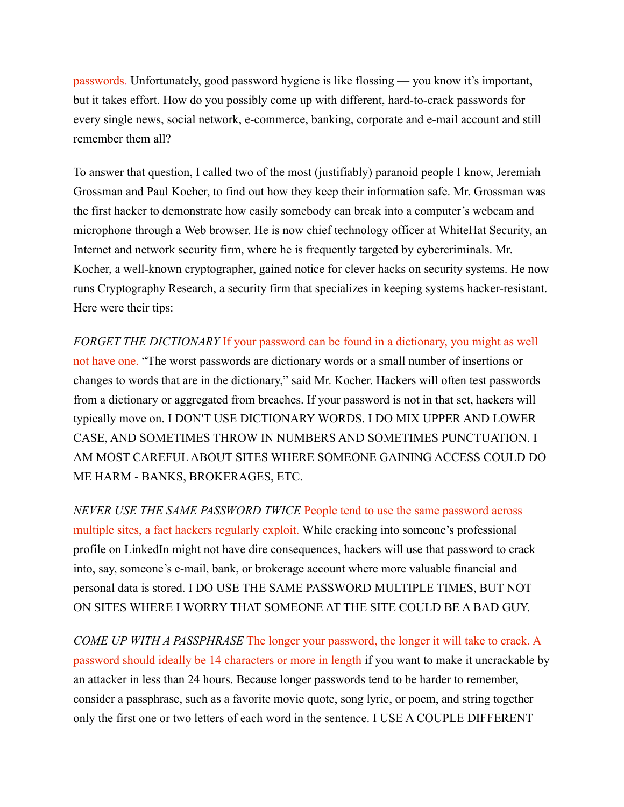passwords. Unfortunately, good password hygiene is like flossing — you know it's important, but it takes effort. How do you possibly come up with different, hard-to-crack passwords for every single news, social network, e-commerce, banking, corporate and e-mail account and still remember them all?

To answer that question, I called two of the most (justifiably) paranoid people I know, Jeremiah Grossman and Paul Kocher, to find out how they keep their information safe. Mr. Grossman was the first hacker to demonstrate how easily somebody can break into a computer's webcam and microphone through a Web browser. He is now chief technology officer at WhiteHat Security, an Internet and network security firm, where he is frequently targeted by cybercriminals. Mr. Kocher, a well-known cryptographer, gained notice for clever hacks on security systems. He now runs Cryptography Research, a security firm that specializes in keeping systems hacker-resistant. Here were their tips:

*FORGET THE DICTIONARY* If your password can be found in a dictionary, you might as well not have one. "The worst passwords are dictionary words or a small number of insertions or changes to words that are in the dictionary," said Mr. Kocher. Hackers will often test passwords from a dictionary or aggregated from breaches. If your password is not in that set, hackers will typically move on. I DON'T USE DICTIONARY WORDS. I DO MIX UPPER AND LOWER CASE, AND SOMETIMES THROW IN NUMBERS AND SOMETIMES PUNCTUATION. I AM MOST CAREFUL ABOUT SITES WHERE SOMEONE GAINING ACCESS COULD DO ME HARM - BANKS, BROKERAGES, ETC.

*NEVER USE THE SAME PASSWORD TWICE* People tend to use the same password across multiple sites, a fact hackers regularly exploit. While cracking into someone's professional profile on LinkedIn might not have dire consequences, hackers will use that password to crack into, say, someone's e-mail, bank, or brokerage account where more valuable financial and personal data is stored. I DO USE THE SAME PASSWORD MULTIPLE TIMES, BUT NOT ON SITES WHERE I WORRY THAT SOMEONE AT THE SITE COULD BE A BAD GUY.

*COME UP WITH A PASSPHRASE* The longer your password, the longer it will take to crack. A password should ideally be 14 characters or more in length if you want to make it uncrackable by an attacker in less than 24 hours. Because longer passwords tend to be harder to remember, consider a passphrase, such as a favorite movie quote, song lyric, or poem, and string together only the first one or two letters of each word in the sentence. I USE A COUPLE DIFFERENT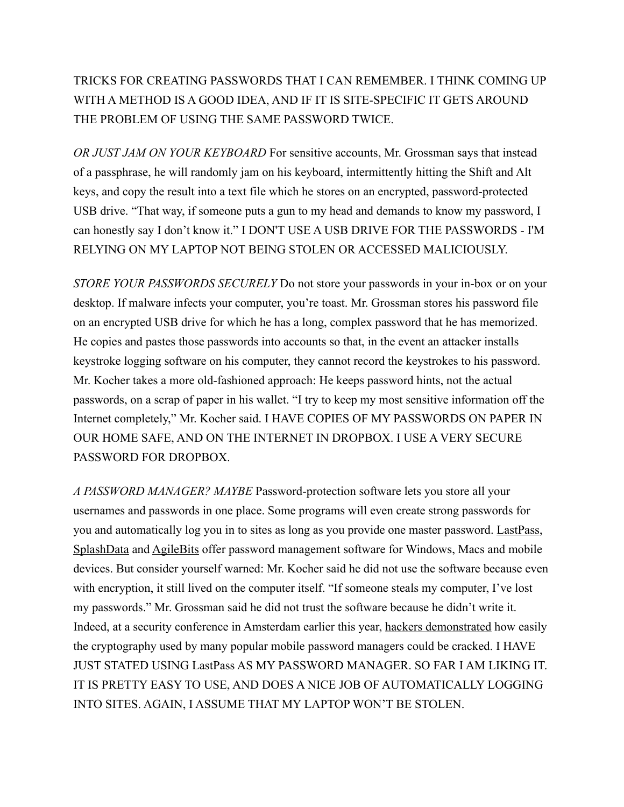## TRICKS FOR CREATING PASSWORDS THAT I CAN REMEMBER. I THINK COMING UP WITH A METHOD IS A GOOD IDEA, AND IF IT IS SITE-SPECIFIC IT GETS AROUND THE PROBLEM OF USING THE SAME PASSWORD TWICE.

*OR JUST JAM ON YOUR KEYBOARD* For sensitive accounts, Mr. Grossman says that instead of a passphrase, he will randomly jam on his keyboard, intermittently hitting the Shift and Alt keys, and copy the result into a text file which he stores on an encrypted, password-protected USB drive. "That way, if someone puts a gun to my head and demands to know my password, I can honestly say I don't know it." I DON'T USE A USB DRIVE FOR THE PASSWORDS - I'M RELYING ON MY LAPTOP NOT BEING STOLEN OR ACCESSED MALICIOUSLY.

*STORE YOUR PASSWORDS SECURELY* Do not store your passwords in your in-box or on your desktop. If malware infects your computer, you're toast. Mr. Grossman stores his password file on an encrypted USB drive for which he has a long, complex password that he has memorized. He copies and pastes those passwords into accounts so that, in the event an attacker installs keystroke logging software on his computer, they cannot record the keystrokes to his password. Mr. Kocher takes a more old-fashioned approach: He keeps password hints, not the actual passwords, on a scrap of paper in his wallet. "I try to keep my most sensitive information off the Internet completely," Mr. Kocher said. I HAVE COPIES OF MY PASSWORDS ON PAPER IN OUR HOME SAFE, AND ON THE INTERNET IN DROPBOX. I USE A VERY SECURE PASSWORD FOR DROPBOX.

*A PASSWORD MANAGER? MAYBE* Password-protection software lets you store all your usernames and passwords in one place. Some programs will even create strong passwords for you and automatically log you in to sites as long as you provide one master password. [LastPass,](http://lastpass.com/) [SplashData](http://www.splashdata.com/) and [AgileBits](https://agilebits.com/) offer password management software for Windows, Macs and mobile devices. But consider yourself warned: Mr. Kocher said he did not use the software because even with encryption, it still lived on the computer itself. "If someone steals my computer, I've lost my passwords." Mr. Grossman said he did not trust the software because he didn't write it. Indeed, at a security conference in Amsterdam earlier this year, [hackers demonstrated](http://www.blackhat.com/html/bh-eu-12/bh-eu-12-briefings.html) how easily the cryptography used by many popular mobile password managers could be cracked. I HAVE JUST STATED USING LastPass AS MY PASSWORD MANAGER. SO FAR I AM LIKING IT. IT IS PRETTY EASY TO USE, AND DOES A NICE JOB OF AUTOMATICALLY LOGGING INTO SITES. AGAIN, I ASSUME THAT MY LAPTOP WON'T BE STOLEN.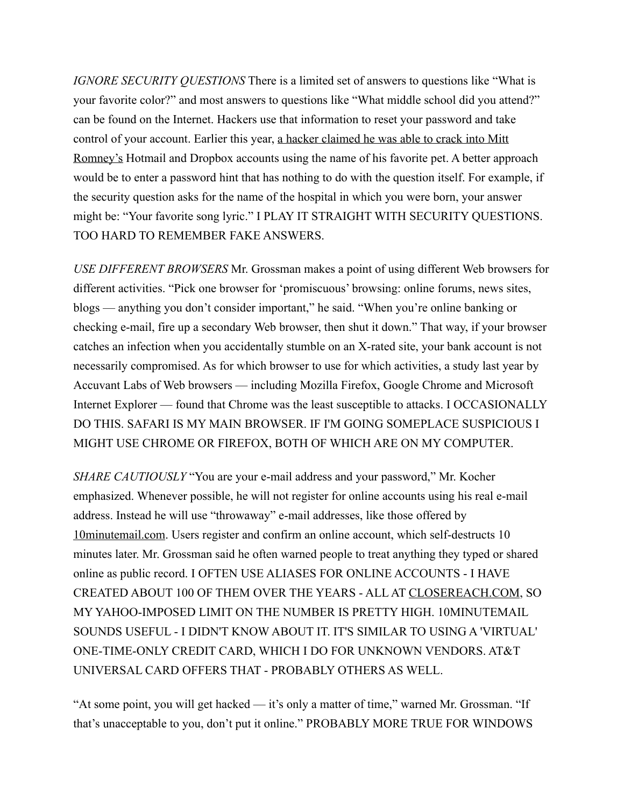*IGNORE SECURITY QUESTIONS* There is a limited set of answers to questions like "What is your favorite color?" and most answers to questions like "What middle school did you attend?" can be found on the Internet. Hackers use that information to reset your password and take control of your account. Earlier this year, a hacker claimed he was able to crack into Mitt [Romney's](http://gawker.com/5915964/well-it-looks-like-someone-hacked-into-mitt-romneys-private-email) Hotmail and Dropbox accounts using the name of his favorite pet. A better approach would be to enter a password hint that has nothing to do with the question itself. For example, if the security question asks for the name of the hospital in which you were born, your answer might be: "Your favorite song lyric." I PLAY IT STRAIGHT WITH SECURITY QUESTIONS. TOO HARD TO REMEMBER FAKE ANSWERS.

*USE DIFFERENT BROWSERS* Mr. Grossman makes a point of using different Web browsers for different activities. "Pick one browser for 'promiscuous' browsing: online forums, news sites, blogs — anything you don't consider important," he said. "When you're online banking or checking e-mail, fire up a secondary Web browser, then shut it down." That way, if your browser catches an infection when you accidentally stumble on an X-rated site, your bank account is not necessarily compromised. As for which browser to use for which activities, a study last year by Accuvant Labs of Web browsers — including Mozilla Firefox, Google Chrome and Microsoft Internet Explorer — found that Chrome was the least susceptible to attacks. I OCCASIONALLY DO THIS. SAFARI IS MY MAIN BROWSER. IF I'M GOING SOMEPLACE SUSPICIOUS I MIGHT USE CHROME OR FIREFOX, BOTH OF WHICH ARE ON MY COMPUTER.

*SHARE CAUTIOUSLY* "You are your e-mail address and your password," Mr. Kocher emphasized. Whenever possible, he will not register for online accounts using his real e-mail address. Instead he will use "throwaway" e-mail addresses, like those offered by [10minutemail.com](http://www.10minutemail.com/). Users register and confirm an online account, which self-destructs 10 minutes later. Mr. Grossman said he often warned people to treat anything they typed or shared online as public record. I OFTEN USE ALIASES FOR ONLINE ACCOUNTS - I HAVE CREATED ABOUT 100 OF THEM OVER THE YEARS - ALL AT [CLOSEREACH.COM](http://CLOSEREACH.COM/), SO MY YAHOO-IMPOSED LIMIT ON THE NUMBER IS PRETTY HIGH. 10MINUTEMAIL SOUNDS USEFUL - I DIDN'T KNOW ABOUT IT. IT'S SIMILAR TO USING A 'VIRTUAL' ONE-TIME-ONLY CREDIT CARD, WHICH I DO FOR UNKNOWN VENDORS. AT&T UNIVERSAL CARD OFFERS THAT - PROBABLY OTHERS AS WELL.

"At some point, you will get hacked — it's only a matter of time," warned Mr. Grossman. "If that's unacceptable to you, don't put it online." PROBABLY MORE TRUE FOR WINDOWS